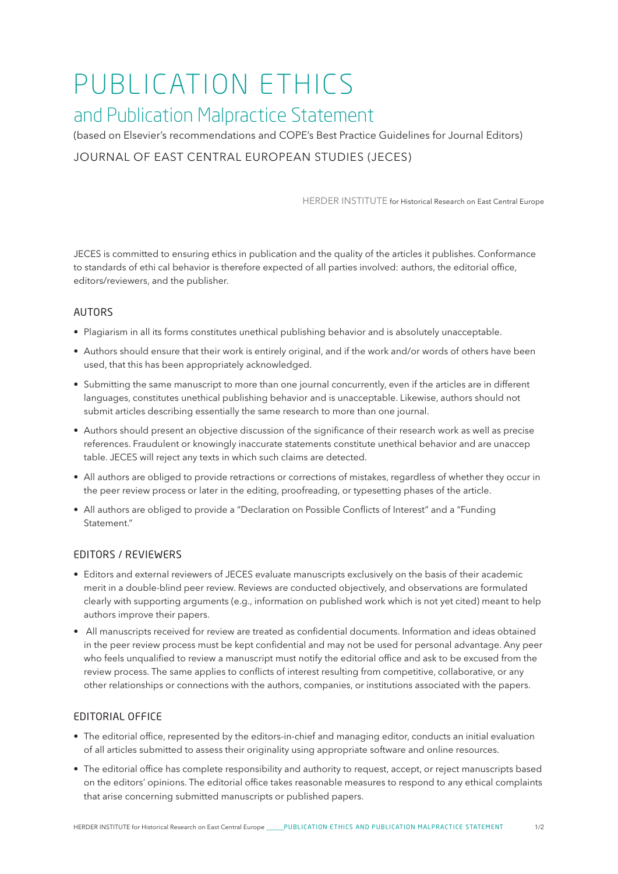# PUBLICATION ETHICS

## and Publication Malpractice Statement

(based on Elsevier's recommendations and COPE's Best Practice Guidelines for Journal Editors) JOURNAL OF EAST CENTRAL EUROPEAN STUDIES (JECES)

HERDER INSTITUTE for Historical Research on East Central Europe

JECES is committed to ensuring ethics in publication and the quality of the articles it publishes. Conformance to standards of ethi cal behavior is therefore expected of all parties involved: authors, the editorial office, editors/reviewers, and the publisher.

#### AUTORS

- Plagiarism in all its forms constitutes unethical publishing behavior and is absolutely unacceptable.
- Authors should ensure that their work is entirely original, and if the work and/or words of others have been used, that this has been appropriately acknowledged.
- Submitting the same manuscript to more than one journal concurrently, even if the articles are in different languages, constitutes unethical publishing behavior and is unacceptable. Likewise, authors should not submit articles describing essentially the same research to more than one journal.
- Authors should present an objective discussion of the significance of their research work as well as precise references. Fraudulent or knowingly inaccurate statements constitute unethical behavior and are unaccep table. JECES will reject any texts in which such claims are detected.
- All authors are obliged to provide retractions or corrections of mistakes, regardless of whether they occur in the peer review process or later in the editing, proofreading, or typesetting phases of the article.
- All authors are obliged to provide a "Declaration on Possible Conflicts of Interest" and a "Funding Statement."

#### EDITORS / REVIEWERS

- Editors and external reviewers of JECES evaluate manuscripts exclusively on the basis of their academic merit in a double-blind peer review. Reviews are conducted objectively, and observations are formulated clearly with supporting arguments (e.g., information on published work which is not yet cited) meant to help authors improve their papers.
- All manuscripts received for review are treated as confidential documents. Information and ideas obtained in the peer review process must be kept confidential and may not be used for personal advantage. Any peer who feels unqualified to review a manuscript must notify the editorial office and ask to be excused from the review process. The same applies to conflicts of interest resulting from competitive, collaborative, or any other relationships or connections with the authors, companies, or institutions associated with the papers.

#### EDITORIAL OFFICE

- The editorial office, represented by the editors-in-chief and managing editor, conducts an initial evaluation of all articles submitted to assess their originality using appropriate software and online resources.
- The editorial office has complete responsibility and authority to request, accept, or reject manuscripts based on the editors' opinions. The editorial office takes reasonable measures to respond to any ethical complaints that arise concerning submitted manuscripts or published papers.